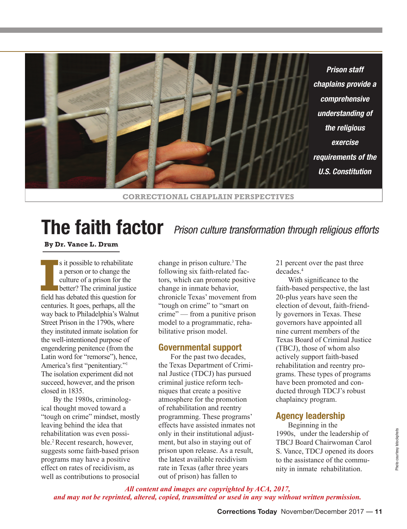

# **The faith factor**  *Prison culture transformation through religious efforts*

**By Dr. Vance L. Drum**

**I**s it possible to rehabilitate<br>
a person or to change the<br>
culture of a prison for the<br>
better? The criminal justice<br>
field has debated this question for s it possible to rehabilitate a person or to change the culture of a prison for the **better?** The criminal justice centuries. It goes, perhaps, all the way back to Philadelphia's Walnut Street Prison in the 1790s, where they instituted inmate isolation for the well-intentioned purpose of engendering penitence (from the Latin word for "remorse"), hence, America's first "penitentiary."<sup>1</sup> The isolation experiment did not succeed, however, and the prison closed in 1835.

By the 1980s, criminological thought moved toward a "tough on crime" mindset, mostly leaving behind the idea that rehabilitation was even possible.2 Recent research, however, suggests some faith-based prison programs may have a positive effect on rates of recidivism, as well as contributions to prosocial

change in prison culture.<sup>3</sup>The following six faith-related factors, which can promote positive change in inmate behavior, chronicle Texas' movement from "tough on crime" to "smart on crime" — from a punitive prison model to a programmatic, rehabilitative prison model.

## **Governmental support**

For the past two decades, the Texas Department of Criminal Justice (TDCJ) has pursued criminal justice reform techniques that create a positive atmosphere for the promotion of rehabilitation and reentry programming. These programs' effects have assisted inmates not only in their institutional adjustment, but also in staying out of prison upon release. As a result, the latest available recidivism rate in Texas (after three years out of prison) has fallen to

21 percent over the past three decades.<sup>4</sup>

With significance to the faith-based perspective, the last 20-plus years have seen the election of devout, faith-friendly governors in Texas. These governors have appointed all nine current members of the Texas Board of Criminal Justice (TBCJ), those of whom also actively support faith-based rehabilitation and reentry programs. These types of programs have been promoted and conducted through TDCJ's robust chaplaincy program.

# **Agency leadership**

Beginning in the 1990s, under the leadership of TBCJ Board Chairwoman Carol S. Vance, TDCJ opened its doors to the assistance of the community in inmate rehabilitation.

*All content and images are copyrighted by ACA, 2017, and may not be reprinted, altered, copied, transmitted or used in any way without written permission.*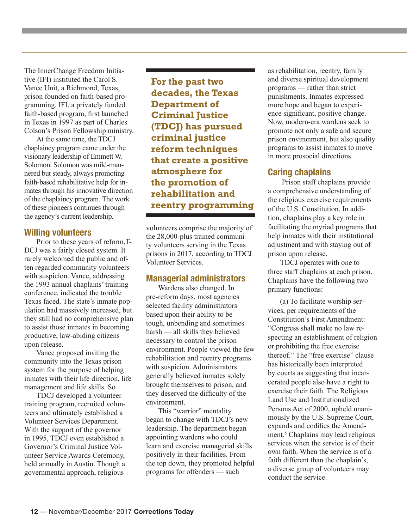The InnerChange Freedom Initiative (IFI) instituted the Carol S. Vance Unit, a Richmond, Texas, prison founded on faith-based programming. IFI, a privately funded faith-based program, first launched in Texas in 1997 as part of Charles Colson's Prison Fellowship ministry.

At the same time, the TDCJ chaplaincy program came under the visionary leadership of Emmett W. Solomon. Solomon was mild-mannered but steady, always promoting faith-based rehabilitative help for inmates through his innovative direction of the chaplaincy program. The work of these pioneers continues through the agency's current leadership.

## **Willing volunteers**

Prior to these years of reform,T-DCJ was a fairly closed system. It rarely welcomed the public and often regarded community volunteers with suspicion. Vance, addressing the 1993 annual chaplains' training conference, indicated the trouble Texas faced. The state's inmate population had massively increased, but they still had no comprehensive plan to assist those inmates in becoming productive, law-abiding citizens upon release.

Vance proposed inviting the community into the Texas prison system for the purpose of helping inmates with their life direction, life management and life skills. So

TDCJ developed a volunteer training program, recruited volunteers and ultimately established a Volunteer Services Department. With the support of the governor in 1995, TDCJ even established a Governor's Criminal Justice Volunteer Service Awards Ceremony, held annually in Austin. Though a governmental approach, religious

**For the past two decades, the Texas Department of Criminal Justice (TDCJ) has pursued criminal justice reform techniques that create a positive atmosphere for the promotion of rehabilitation and reentry programming**

volunteers comprise the majority of the 28,000-plus trained community volunteers serving in the Texas prisons in 2017, according to TDCJ Volunteer Services.

# **Managerial administrators**

Wardens also changed. In pre-reform days, most agencies selected facility administrators based upon their ability to be tough, unbending and sometimes harsh — all skills they believed necessary to control the prison environment. People viewed the few rehabilitation and reentry programs with suspicion. Administrators generally believed inmates solely brought themselves to prison, and they deserved the difficulty of the environment.

This "warrior" mentality began to change with TDCJ's new leadership. The department began appointing wardens who could learn and exercise managerial skills positively in their facilities. From the top down, they promoted helpful programs for offenders — such

as rehabilitation, reentry, family and diverse spiritual development programs — rather than strict punishments. Inmates expressed more hope and began to experience significant, positive change. Now, modern-era wardens seek to promote not only a safe and secure prison environment, but also quality programs to assist inmates to move in more prosocial directions.

# **Caring chaplains**

Prison staff chaplains provide a comprehensive understanding of the religious exercise requirements of the U.S. Constitution. In addition, chaplains play a key role in facilitating the myriad programs that help inmates with their institutional adjustment and with staving out of prison upon release.

TDCJ operates with one to three staff chaplains at each prison. Chaplains have the following two primary functions:

(a) To facilitate worship services, per requirements of the Constitution's First Amendment: "Congress shall make no law respecting an establishment of religion or prohibiting the free exercise thereof." The "free exercise" clause has historically been interpreted by courts as suggesting that incarcerated people also have a right to exercise their faith. The Religious Land Use and Institutionalized Persons Act of 2000, upheld unanimously by the U.S. Supreme Court, expands and codifies the Amendment.<sup>5</sup> Chaplains may lead religious services when the service is of their own faith. When the service is of a faith different than the chaplain's, a diverse group of volunteers may conduct the service.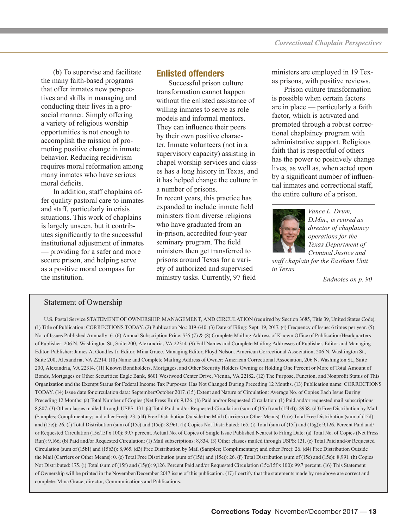(b) To supervise and facilitate the many faith-based programs that offer inmates new perspectives and skills in managing and conducting their lives in a prosocial manner. Simply offering a variety of religious worship opportunities is not enough to accomplish the mission of promoting positive change in inmate behavior. Reducing recidivism requires moral reformation among many inmates who have serious moral deficits.

In addition, staff chaplains offer quality pastoral care to inmates and staff, particularly in crisis situations. This work of chaplains is largely unseen, but it contributes significantly to the successful institutional adjustment of inmates — providing for a safer and more secure prison, and helping serve as a positive moral compass for the institution.

## **Enlisted offenders**

Successful prison culture transformation cannot happen without the enlisted assistance of willing inmates to serve as role models and informal mentors. They can influence their peers by their own positive character. Inmate volunteers (not in a supervisory capacity) assisting in chapel worship services and classes has a long history in Texas, and it has helped change the culture in a number of prisons. In recent years, this practice has expanded to include inmate field ministers from diverse religions who have graduated from an in-prison, accredited four-year seminary program. The field ministers then get transferred to prisons around Texas for a variety of authorized and supervised ministry tasks. Currently, 97 field

ministers are employed in 19 Texas prisons, with positive reviews.

Prison culture transformation is possible when certain factors are in place — particularly a faith factor, which is activated and promoted through a robust correctional chaplaincy program with administrative support. Religious faith that is respectful of others has the power to positively change lives, as well as, when acted upon by a significant number of influential inmates and correctional staff, the entire culture of a prison.



*Vance L. Drum, D.Min., is retired as director of chaplaincy operations for the Texas Department of Criminal Justice and* 

*staff chaplain for the Eastham Unit in Texas.*

*Endnotes on p. 90*

## Statement of Ownership

U.S. Postal Service STATEMENT OF OWNERSHIP, MANAGEMENT, AND CIRCULATION (required by Section 3685, Title 39, United States Code), (1) Title of Publication: CORRECTIONS TODAY. (2) Publication No.: 019-640. (3) Date of Filing: Sept. 19, 2017. (4) Frequency of Issue: 6 times per year. (5) No. of Issues Published Annually: 6. (6) Annual Subscription Price: \$35 (7) & (8) Complete Mailing Address of Known Office of Publication/Headquarters of Publisher: 206 N. Washington St., Suite 200, Alexandria, VA 22314. (9) Full Names and Complete Mailing Addresses of Publisher, Editor and Managing Editor. Publisher: James A. Gondles Jr. Editor, Mina Grace. Managing Editor, Floyd Nelson. American Correctional Association, 206 N. Washington St., Suite 200, Alexandria, VA 22314. (10) Name and Complete Mailing Address of Owner: American Correctional Association, 206 N. Washington St., Suite 200, Alexandria, VA 22314. (11) Known Bondholders, Mortgages, and Other Security Holders Owning or Holding One Percent or More of Total Amount of Bonds, Mortgages or Other Securities: Eagle Bank, 8601 Westwood Center Drive, Vienna, VA 22182. (12) The Purpose, Function, and Nonprofit Status of This Organization and the Exempt Status for Federal Income Tax Purposes: Has Not Changed During Preceding 12 Months. (13) Publication name: CORRECTIONS TODAY. (14) Issue date for circulation data: September/October 2017. (15) Extent and Nature of Circulation: Average No. of Copies Each Issue During Preceding 12 Months: (a) Total Number of Copies (Net Press Run): 9,126. (b) Paid and/or Requested Circulation: (1) Paid and/or requested mail subscriptions: 8,807. (3) Other classes mailed through USPS: 131. (c) Total Paid and/or Requested Circulation (sum of (15b1) and (15b4)): 8938. (d3) Free Distribution by Mail (Samples; Complimentary; and other Free): 23. (d4) Free Distribution Outside the Mail (Carriers or Other Means): 0. (e) Total Free Distribution (sum of (15d) and (15e)): 26. (f) Total Distribution (sum of (15c) and (15e)): 8,961. (h) Copies Not Distributed: 165. (i) Total (sum of (15f) and (15g)): 9,126. Percent Paid and/ or Requested Circulation (15c/15f x 100): 99.7 percent. Actual No. of Copies of Single Issue Published Nearest to Filing Date: (a) Total No. of Copies (Net Press Run): 9,166; (b) Paid and/or Requested Circulation: (1) Mail subscriptions: 8,834. (3) Other classes mailed through USPS: 131. (c) Total Paid and/or Requested Circulation (sum of (15b1) and (15b3)): 8,965. (d3) Free Distribution by Mail (Samples; Complimentary; and other Free): 26. (d4) Free Distribution Outside the Mail (Carriers or Other Means): 0. (e) Total Free Distribution (sum of (15d) and (15e)): 26. (f) Total Distribution (sum of (15c) and (15e)): 8,991. (h) Copies Not Distributed: 175. (i) Total (sum of (15f) and (15g)): 9,126. Percent Paid and/or Requested Circulation (15c/15f x 100): 99.7 percent. (16) This Statement of Ownership will be printed in the November/December 2017 issue of this publication. (17) I certify that the statements made by me above are correct and complete: Mina Grace, director, Communications and Publications.